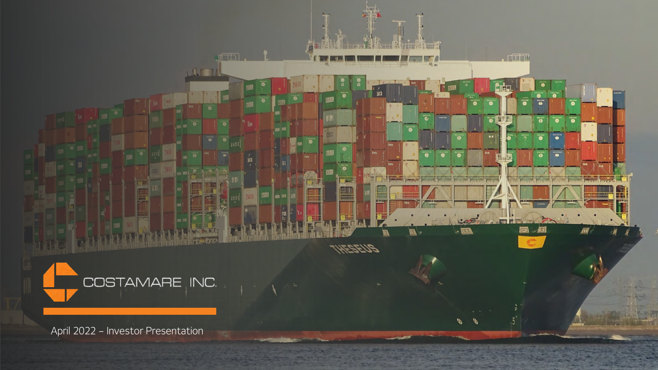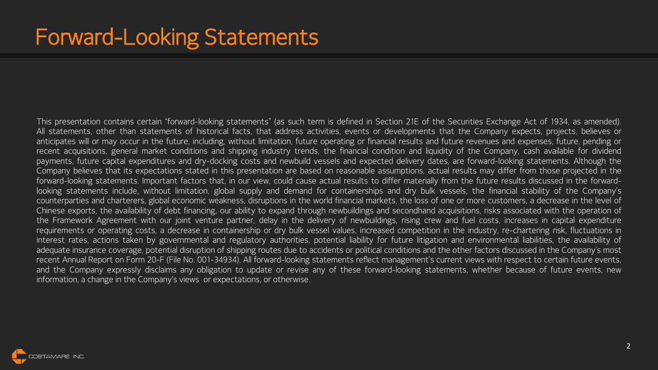This presentation contains certain "forward-looking statements" (as such term is defined in Section 21E of the Securities Exchange Act of 1934, as amended). All statements, other than statements of historical facts, that address activities, events or developments that the Company expects, projects, believes or anticipates will or may occur in the future, including, without limitation, future operating or financial results and future revenues and expenses, future, pending or recent acquisitions, general market conditions and shipping industry trends, the financial condition and liquidity of the Company, cash available for dividend payments, future capital expenditures and dry-docking costs and newbuild vessels and expected delivery dates, are forward-looking statements. Although the Company believes that its expectations stated in this presentation are based on reasonable assumptions, actual results may differ from those projected in the forward-looking statements. Important factors that, in our view, could cause actual results to differ materially from the future results discussed in the forwardlooking statements include, without limitation, global supply and demand for containerships and dry bulk vessels, the financial stability of the Company's counterparties and charterers, global economic weakness, disruptions in the world financial markets, the loss of one or more customers, a decrease in the level of Chinese exports, the availability of debt financing, our ability to expand through newbuildings and secondhand acquisitions, risks associated with the operation of the Framework Agreement with our joint venture partner, delay in the delivery of newbuildings, rising crew and fuel costs, increases in capital expenditure requirements or operating costs, a decrease in containership or dry bulk vessel values, increased competition in the industry, re-chartering risk, fluctuations in interest rates, actions taken by governmental and regulatory authorities, potential liability for future litigation and environmental liabilities, the availability of adequate insurance coverage, potential disruption of shipping routes due to accidents or political conditions and the other factors discussed in the Company's most recent Annual Report on Form 20-F (File No. 001-34934). All forward-looking statements reflect management's current views with respect to certain future events, and the Company expressly disclaims any obligation to update or revise any of these forward-looking statements, whether because of future events, new information, a change in the Company's views or expectations, or otherwise.

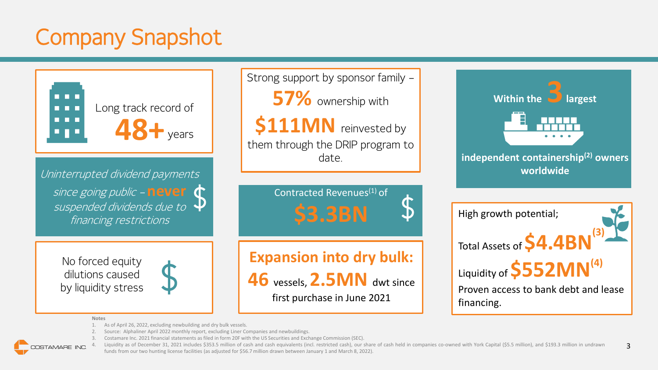# Company Snapshot



Uninterrupted dividend payments since going public – **never**  suspended dividends due to  $\,\mathbf{\Psi}$ financing restrictions

> No forced equity dilutions caused by liquidity stress

Strong support by sponsor family – **57%** ownership with **\$111MN** reinvested by them through the DRIP program to

date.

Contracted Revenues<sup>(1)</sup> of **\$3.3BN**

**Expansion into dry bulk: 46** vessels, **2.5MN** dwt since

first purchase in June 2021



#### **Notes**

- As of April 26, 2022, excluding newbuilding and dry bulk vessels.
- 2. Source: Alphaliner April 2022 monthly report, excluding Liner Companies and newbuildings.
- 3. Costamare Inc. 2021 financial statements as filed in form 20F with the US Securities and Exchange Commission (SEC).

Liquidity as of December 31, 2021 includes \$353.5 million of cash and cash equivalents (incl. restricted cash), our share of cash held in companies co-owned with York Capital (\$5.5 million), and \$193.3 million in undrawn funds from our two hunting license facilities (as adjusted for \$56.7 million drawn between January 1 and March 8, 2022).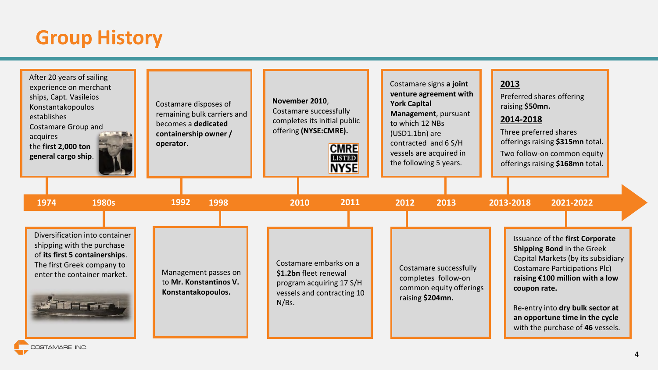### **Group History**

| After 20 years of sailing<br>experience on merchant<br>ships, Capt. Vasileios<br>Konstantakopoulos<br>establishes<br><b>Costamare Group and</b><br>acquires<br>the first 2,000 ton<br>general cargo ship. | Costamare disposes of<br>remaining bulk carriers and<br>becomes a dedicated<br>containership owner /<br>operator. | November 2010,<br>Costamare successfully<br>completes its initial public<br>offering (NYSE:CMRE).<br><b>CMRE</b><br><b>LISTED</b><br><b>NYSE</b> | Costamare signs a joint<br>venture agreement with<br><b>York Capital</b><br>Management, pursuant<br>to which 12 NBs<br>(USD1.1bn) are<br>contracted and 6 S/H<br>vessels are acquired in<br>the following 5 years. | 2013<br>Preferred shares offering<br>raising \$50mn.<br>2014-2018<br>Three preferred shares<br>offerings raising \$315mn total.<br>Two follow-on common equity<br>offerings raising \$168mn total.                                                                                                              |
|-----------------------------------------------------------------------------------------------------------------------------------------------------------------------------------------------------------|-------------------------------------------------------------------------------------------------------------------|--------------------------------------------------------------------------------------------------------------------------------------------------|--------------------------------------------------------------------------------------------------------------------------------------------------------------------------------------------------------------------|-----------------------------------------------------------------------------------------------------------------------------------------------------------------------------------------------------------------------------------------------------------------------------------------------------------------|
| 1974<br>1980s                                                                                                                                                                                             | 1992<br>1998                                                                                                      | 2011<br>2010                                                                                                                                     | 2012<br>2013                                                                                                                                                                                                       | 2013-2018<br>2021-2022                                                                                                                                                                                                                                                                                          |
| Diversification into container<br>shipping with the purchase<br>of its first 5 containerships.<br>The first Greek company to<br>enter the container market.                                               | Management passes on<br>to Mr. Konstantinos V.<br>Konstantakopoulos.                                              | Costamare embarks on a<br>\$1.2bn fleet renewal<br>program acquiring 17 S/H<br>vessels and contracting 10<br>$N/Bs$ .                            | Costamare successfully<br>completes follow-on<br>common equity offerings<br>raising \$204mn.                                                                                                                       | Issuance of the first Corporate<br><b>Shipping Bond in the Greek</b><br>Capital Markets (by its subsidiary<br><b>Costamare Participations Plc)</b><br>raising €100 million with a low<br>coupon rate.<br>Re-entry into dry bulk sector at<br>an opportune time in the cycle<br>with the purchase of 46 vessels. |

COSTAMARE INC.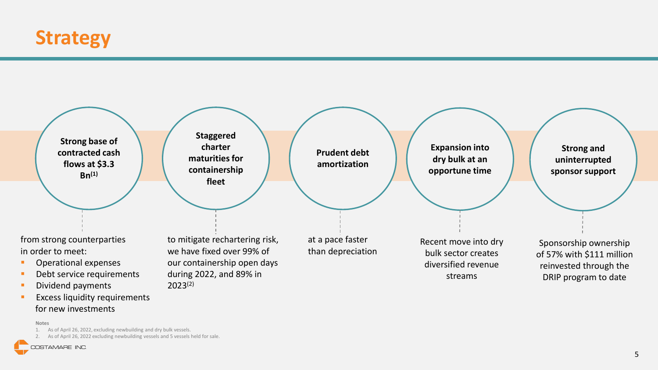



**EXCESS liquidity requirements** for new investments

#### **Notes**

1. As of April 26, 2022, excluding newbuilding and dry bulk vessels.

2. As of April 26, 2022 excluding newbuilding vessels and 5 vessels held for sale.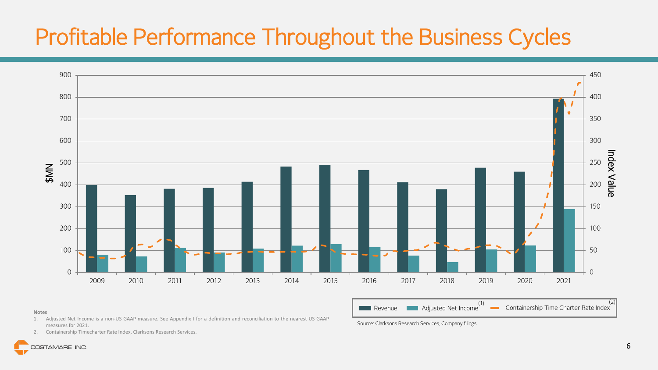## Profitable Performance Throughout the Business Cycles



#### **Notes**

- 1. Adjusted Net Income is a non-US GAAP measure. See Appendix I for a definition and reconciliation to the nearest US GAAP measures for 2021.
	- Source: Clarksons Research Services, Company filings

2. Containership Timecharter Rate Index, Clarksons Research Services.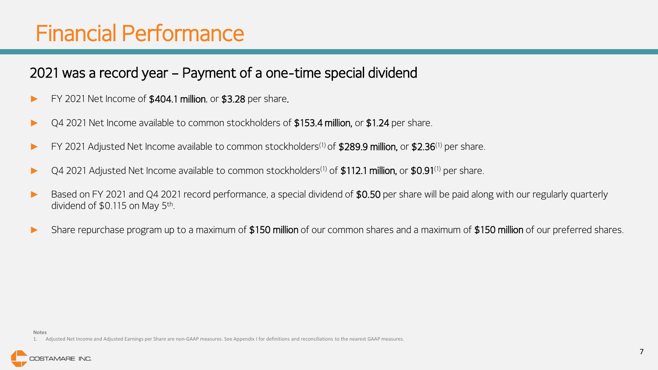### Financial Performance

### 2021 was a record year – Payment of a one-time special dividend

- ► FY 2021 Net Income of \$404.1 million, or \$3.28 per share.
- Q4 2021 Net Income available to common stockholders of \$153.4 million, or \$1.24 per share.
- EY 2021 Adjusted Net Income available to common stockholders<sup>(1)</sup> of \$289.9 million, or \$2.36<sup>(1)</sup> per share.
- Q4 2021 Adjusted Net Income available to common stockholders<sup>(1)</sup> of \$112.1 million, or \$0.91<sup>(1)</sup> per share.
- Based on FY 2021 and Q4 2021 record performance, a special dividend of \$0.50 per share will be paid along with our regularly quarterly dividend of \$0.115 on May 5th .
- Share repurchase program up to a maximum of \$150 million of our common shares and a maximum of \$150 million of our preferred shares.

<sup>1.</sup> Adjusted Net Income and Adjusted Earnings per Share are non-GAAP measures. See Appendix I for definitions and reconciliations to the nearest GAAP measures.

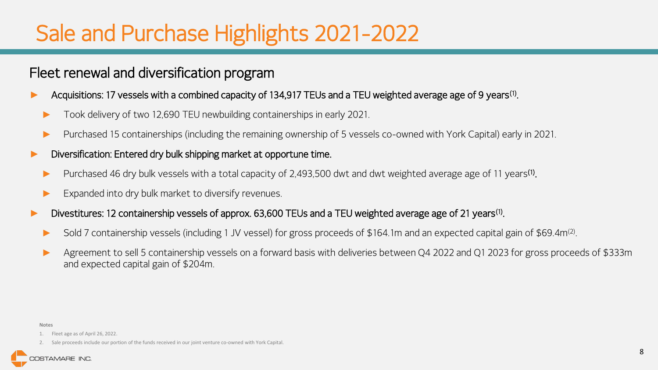### Sale and Purchase Highlights 2021-2022

#### Fleet renewal and diversification program

- ► Acquisitions: 17 vessels with a combined capacity of 134,917 TEUs and a TEU weighted average age of 9 years<sup>(1)</sup>.
	- Took delivery of two 12,690 TEU newbuilding containerships in early 2021.
	- ► Purchased 15 containerships (including the remaining ownership of 5 vessels co-owned with York Capital) early in 2021.
- Diversification: Entered dry bulk shipping market at opportune time.
	- ► Purchased 46 dry bulk vessels with a total capacity of 2,493,500 dwt and dwt weighted average age of 11 years<sup>(1)</sup>.
	- Expanded into dry bulk market to diversify revenues.
- ► Divestitures: 12 containership vessels of approx. 63,600 TEUs and a TEU weighted average age of 21 years(1) .
	- ► Sold 7 containership vessels (including 1 JV vessel) for gross proceeds of \$164.1m and an expected capital gain of \$69.4m<sup>(2)</sup>.
	- Agreement to sell 5 containership vessels on a forward basis with deliveries between Q4 2022 and Q1 2023 for gross proceeds of \$333m and expected capital gain of \$204m.

#### **Notes**

#### 1. Fleet age as of April 26, 2022.

2. Sale proceeds include our portion of the funds received in our joint venture co-owned with York Capital.

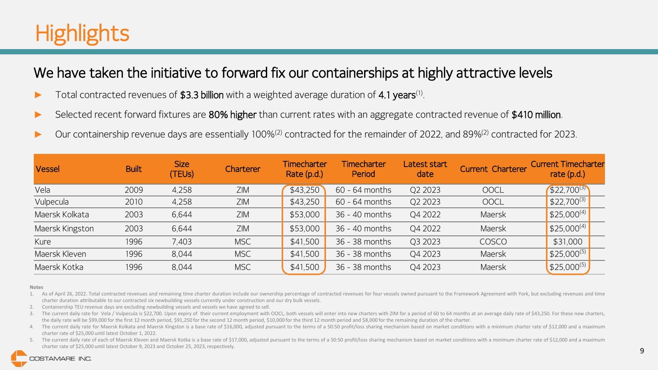## **Highlights**

### We have taken the initiative to forward fix our containerships at highly attractive levels

- ► Total contracted revenues of \$3.3 billion with a weighted average duration of 4.1 years<sup>(1)</sup>.
- Selected recent forward fixtures are 80% higher than current rates with an aggregate contracted revenue of \$410 million.
- Our containership revenue days are essentially 100%<sup>(2)</sup> contracted for the remainder of 2022, and 89%<sup>(2)</sup> contracted for 2023.

| <b>Vessel</b>   | <b>Built</b> | Size<br>(TEUs) | Charterer  | <b>Timecharter</b><br>Rate (p.d.) | <b>Timecharter</b><br>Period | Latest start<br>date | Current Charterer | <b>Current Timecharter</b><br>rate $(p.d.)$ |
|-----------------|--------------|----------------|------------|-----------------------------------|------------------------------|----------------------|-------------------|---------------------------------------------|
| Vela            | 2009         | 4,258          | ZIM        | \$43,250                          | $60 - 64$ months             | Q2 2023              | <b>OOCL</b>       | $$22,700^{(3)}$                             |
| Vulpecula       | 2010         | 4,258          | ZIM        | \$43,250                          | $60 - 64$ months             | Q2 2023              | <b>OOCL</b>       | $$22,700^{(3)}$                             |
| Maersk Kolkata  | 2003         | 6,644          | ZIM        | \$53,000                          | 36 - 40 months               | Q4 2022              | Maersk            | $$25,000^{(4)}$                             |
| Maersk Kingston | 2003         | 6,644          | ZIM        | \$53,000                          | 36 - 40 months               | Q4 2022              | Maersk            | $$25,000^{(4)}$                             |
| Kure            | 1996         | 7,403          | <b>MSC</b> | \$41,500                          | 36 - 38 months               | Q3 2023              | <b>COSCO</b>      | \$31,000                                    |
| Maersk Kleven   | 1996         | 8,044          | <b>MSC</b> | \$41,500                          | 36 - 38 months               | Q4 2023              | Maersk            | $$25,000^{(5)}$                             |
| Maersk Kotka    | 1996         | 8,044          | <b>MSC</b> | \$41,500                          | 36 - 38 months               | Q4 2023              | Maersk            | \$25,000(5)                                 |

#### **Notes**

1. As of April 26, 2022. Total contracted revenues and remaining time charter duration include our ownership percentage of contracted revenues for four vessels owned pursuant to the Framework Agreement with York, but exclu charter duration attributable to our contracted six newbuilding vessels currently under construction and our dry bulk vessels.

2. Containership TEU revenue days are excluding newbuilding vessels and vessels we have agreed to sell.

3. The current daily rate for Vela / Vulpecula is \$22,700. Upon expiry of their current employment with OOCL, both vessels will enter into new charters with ZIM for a period of 60 to 64 months at an average daily rate of \$ the daily rate will be \$99,000 for the first 12 month period, \$91,250 for the second 12 month period, \$10,000 for the third 12 month period and \$8,000 for the remaining duration of the charter.

4. The current daily rate for Maersk Kolkata and Maersk Kingston is a base rate of \$16,000, adjusted pursuant to the terms of a 50:50 profit/loss sharing mechanism based on market conditions with a minimum charter rate of charter rate of \$25,000 until latest October 1, 2022.

The current daily rate of each of Maersk Kleven and Maersk Kotka is a base rate of \$17,000, adjusted pursuant to the terms of a 50:50 profit/loss sharing mechanism based on market conditions with a minimum charter rate of charter rate of \$25,000 until latest October 9, 2023 and October 25, 2023, respectively.

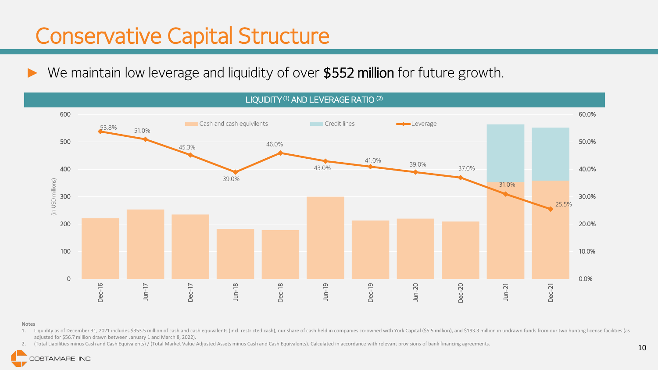### Conservative Capital Structure

► We maintain low leverage and liquidity of over \$552 million for future growth.



#### **Notes**

1. Liquidity as of December 31, 2021 includes \$353.5 million of cash and cash equivalents (incl. restricted cash), our share of cash held in companies co-owned with York Capital (\$5.5 million), and \$193.3 million in undraw adjusted for \$56.7 million drawn between January 1 and March 8, 2022).

2. (Total Liabilities minus Cash and Cash Equivalents) / (Total Market Value Adjusted Assets minus Cash and Cash Equivalents). Calculated in accordance with relevant provisions of bank financing agreements.

#### COSTAMARE INC.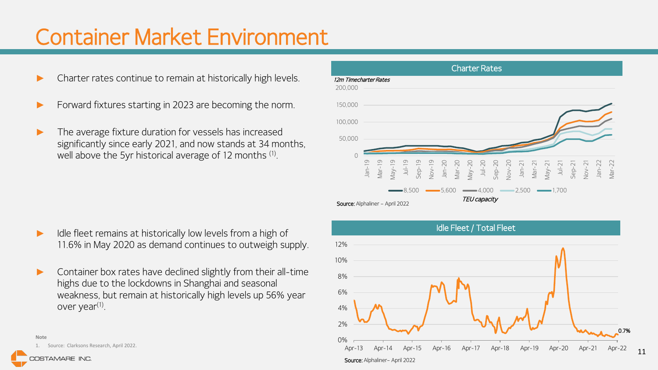### Container Market Environment

- Charter rates continue to remain at historically high levels.
- Forward fixtures starting in 2023 are becoming the norm.
- The average fixture duration for vessels has increased significantly since early 2021, and now stands at 34 months, well above the 5yr historical average of 12 months (1) .

- Idle fleet remains at historically low levels from a high of 11.6% in May 2020 as demand continues to outweigh supply.
- Container box rates have declined slightly from their all-time highs due to the lockdowns in Shanghai and seasonal weakness, but remain at historically high levels up 56% year over year<sup>(1)</sup>.



COSTAMARE INC.



Idle Fleet / Total Fleet Source: Alphaliner– April 2022 0.7% 0% 2% 4% 6% 8% 10% 12% Apr-13 Apr-14 Apr-15 Apr-16 Apr-17 Apr-18 Apr-19 Apr-20 Apr-21 Apr-22

11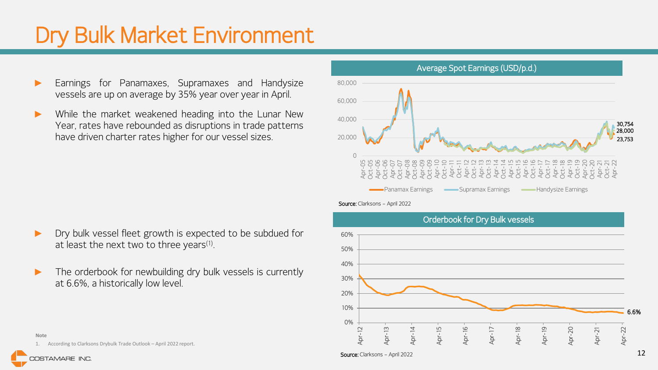## Dry Bulk Market Environment

- Earnings for Panamaxes, Supramaxes and Handysize vessels are up on average by 35% year over year in April.
- While the market weakened heading into the Lunar New Year, rates have rebounded as disruptions in trade patterns have driven charter rates higher for our vessel sizes.

- Dry bulk vessel fleet growth is expected to be subdued for at least the next two to three years $^{\text{\tiny{(1)}}}.$
- The orderbook for newbuilding dry bulk vessels is currently at 6.6%, a historically low level.



#### Source: Clarksons - April 2022



**Note**

1. According to Clarksons Drybulk Trade Outlook – April 2022 report.

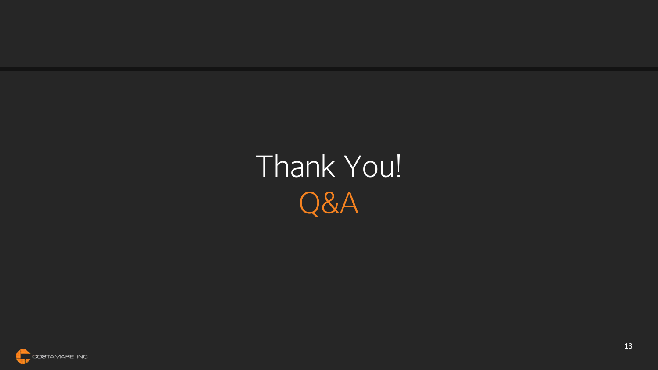Thank You! Q&A